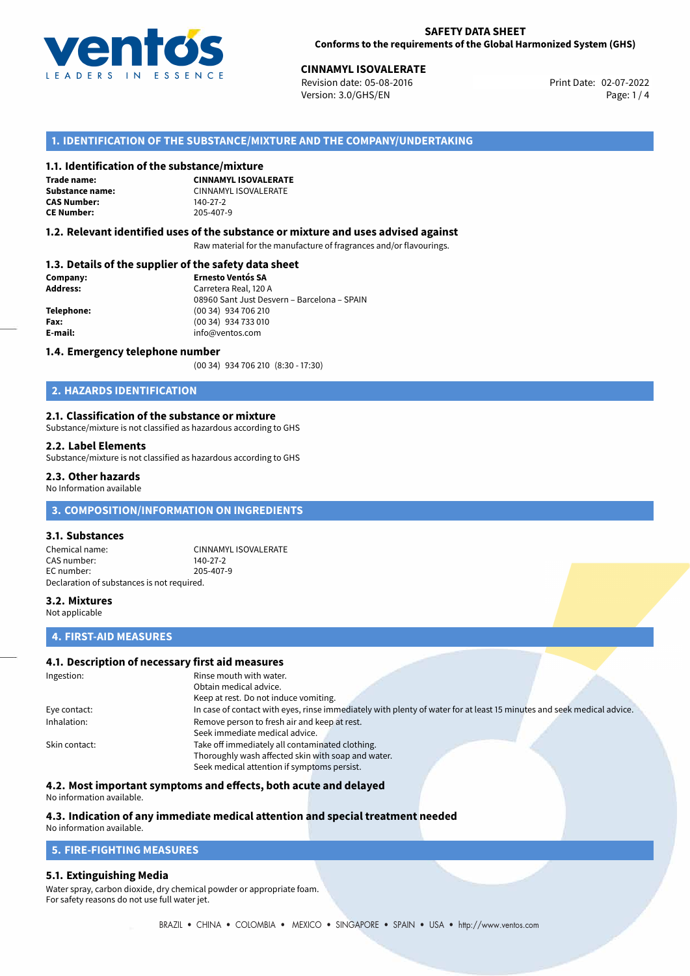

**CINNAMYL ISOVALERATE**<br>
Revision date: 05-08-2016 **Print Date: 02-07-2022** Version: 3.0/GHS/EN Page: 1 / 4

# **1. IDENTIFICATION OF THE SUBSTANCE/MIXTURE AND THE COMPANY/UNDERTAKING**

#### **1.1. Identification of the substance/mixture**

**Trade name: CAS Number: CE Number:** 205-407-9

**CINNAMYL ISOVALERATE Substance name:** CINNAMYL ISOVALERATE

#### **1.2. Relevant identified uses of the substance or mixture and uses advised against**

Raw material for the manufacture of fragrances and/or flavourings.

# **1.3. Details of the supplier of the safety data sheet**

| Company:        | <b>Ernesto Ventós SA</b>                    |  |
|-----------------|---------------------------------------------|--|
| <b>Address:</b> | Carretera Real, 120 A                       |  |
|                 | 08960 Sant Just Desvern - Barcelona - SPAIN |  |
| Telephone:      | (00 34) 934 706 210                         |  |
| Fax:            | (00 34) 934 733 010                         |  |
| E-mail:         | info@ventos.com                             |  |
|                 |                                             |  |

#### **1.4. Emergency telephone number**

(00 34) 934 706 210 (8:30 - 17:30)

# **2. HAZARDS IDENTIFICATION**

#### **2.1. Classification of the substance or mixture**

Substance/mixture is not classified as hazardous according to GHS

#### **2.2. Label Elements**

Substance/mixture is not classified as hazardous according to GHS

#### **2.3. Other hazards**

No Information available

# **3. COMPOSITION/INFORMATION ON INGREDIENTS**

#### **3.1. Substances**

Chemical name: CINNAMYL ISOVALERATE CAS number: 140-27-2 EC number: 205-407-9 Declaration of substances is not required.

#### **3.2. Mixtures**

Not applicable

# **4. FIRST-AID MEASURES**

## **4.1. Description of necessary first aid measures**

| Ingestion:    | Rinse mouth with water.                                                                                               |  |  |
|---------------|-----------------------------------------------------------------------------------------------------------------------|--|--|
|               | Obtain medical advice.                                                                                                |  |  |
|               | Keep at rest. Do not induce vomiting.                                                                                 |  |  |
| Eye contact:  | In case of contact with eyes, rinse immediately with plenty of water for at least 15 minutes and seek medical advice. |  |  |
| Inhalation:   | Remove person to fresh air and keep at rest.                                                                          |  |  |
|               | Seek immediate medical advice.                                                                                        |  |  |
| Skin contact: | Take off immediately all contaminated clothing.                                                                       |  |  |
|               | Thoroughly wash affected skin with soap and water.                                                                    |  |  |
|               | Seek medical attention if symptoms persist.                                                                           |  |  |

#### **4.2. Most important symptoms and effects, both acute and delayed**

No information available.

# **4.3. Indication of any immediate medical attention and special treatment needed**

# No information available.

# **5. FIRE-FIGHTING MEASURES**

#### **5.1. Extinguishing Media**

Water spray, carbon dioxide, dry chemical powder or appropriate foam. For safety reasons do not use full water jet.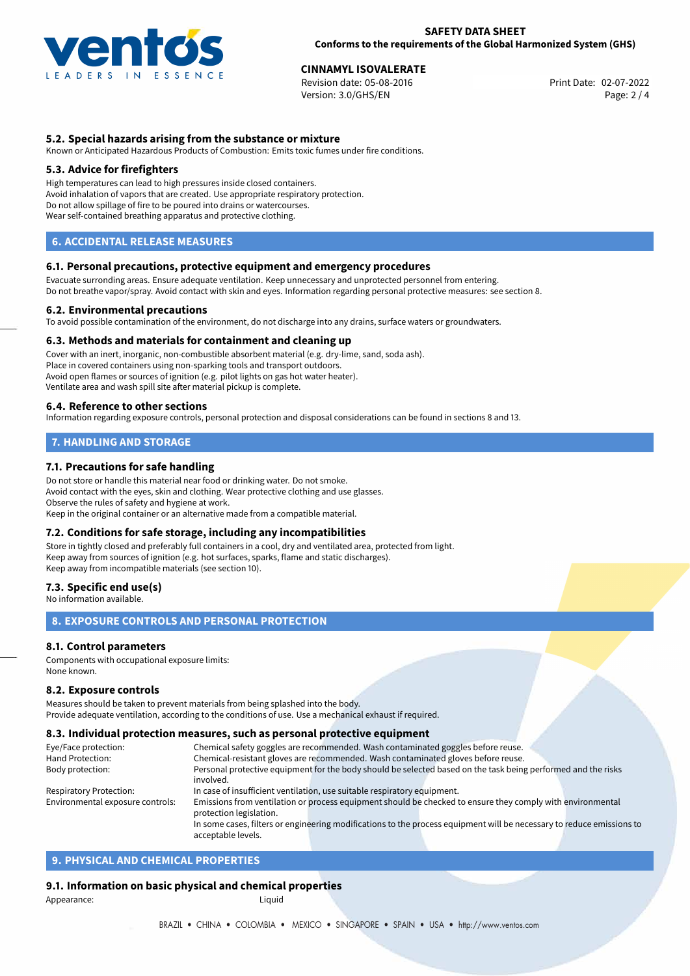

02-07-2022 **CINNAMYL ISOVALERATE** Revision date: 05-08-2016 Print Date: Version: 3.0/GHS/EN Page: 2 / 4

## **5.2. Special hazards arising from the substance or mixture**

Known or Anticipated Hazardous Products of Combustion: Emits toxic fumes under fire conditions.

#### **5.3. Advice for firefighters**

High temperatures can lead to high pressures inside closed containers. Avoid inhalation of vapors that are created. Use appropriate respiratory protection. Do not allow spillage of fire to be poured into drains or watercourses. Wear self-contained breathing apparatus and protective clothing.

## **6. ACCIDENTAL RELEASE MEASURES**

#### **6.1. Personal precautions, protective equipment and emergency procedures**

Evacuate surronding areas. Ensure adequate ventilation. Keep unnecessary and unprotected personnel from entering. Do not breathe vapor/spray. Avoid contact with skin and eyes. Information regarding personal protective measures: see section 8.

#### **6.2. Environmental precautions**

To avoid possible contamination of the environment, do not discharge into any drains, surface waters or groundwaters.

#### **6.3. Methods and materials for containment and cleaning up**

Cover with an inert, inorganic, non-combustible absorbent material (e.g. dry-lime, sand, soda ash). Place in covered containers using non-sparking tools and transport outdoors. Avoid open flames or sources of ignition (e.g. pilot lights on gas hot water heater). Ventilate area and wash spill site after material pickup is complete.

#### **6.4. Reference to other sections**

Information regarding exposure controls, personal protection and disposal considerations can be found in sections 8 and 13.

# **7. HANDLING AND STORAGE**

#### **7.1. Precautions for safe handling**

Do not store or handle this material near food or drinking water. Do not smoke. Avoid contact with the eyes, skin and clothing. Wear protective clothing and use glasses. Observe the rules of safety and hygiene at work. Keep in the original container or an alternative made from a compatible material.

#### **7.2. Conditions for safe storage, including any incompatibilities**

Store in tightly closed and preferably full containers in a cool, dry and ventilated area, protected from light. Keep away from sources of ignition (e.g. hot surfaces, sparks, flame and static discharges). Keep away from incompatible materials (see section 10).

#### **7.3. Specific end use(s)**

No information available.

## **8. EXPOSURE CONTROLS AND PERSONAL PROTECTION**

#### **8.1. Control parameters**

Components with occupational exposure limits: None known.

#### **8.2. Exposure controls**

Measures should be taken to prevent materials from being splashed into the body. Provide adequate ventilation, according to the conditions of use. Use a mechanical exhaust if required.

#### **8.3. Individual protection measures, such as personal protective equipment**

acceptable levels.

| Eye/Face protection:             | Chemical safety goggles are recommended. Wash contaminated goggles before reuse.                                      |  |  |  |  |
|----------------------------------|-----------------------------------------------------------------------------------------------------------------------|--|--|--|--|
| Hand Protection:                 | Chemical-resistant gloves are recommended. Wash contaminated gloves before reuse.                                     |  |  |  |  |
| Body protection:                 | Personal protective equipment for the body should be selected based on the task being performed and the risks         |  |  |  |  |
|                                  | involved.                                                                                                             |  |  |  |  |
| <b>Respiratory Protection:</b>   | In case of insufficient ventilation, use suitable respiratory equipment.                                              |  |  |  |  |
| Environmental exposure controls: | Emissions from ventilation or process equipment should be checked to ensure they comply with environmental            |  |  |  |  |
|                                  | protection legislation.                                                                                               |  |  |  |  |
|                                  | In some cases, filters or engineering modifications to the process equipment will be necessary to reduce emissions to |  |  |  |  |
|                                  |                                                                                                                       |  |  |  |  |

# **9. PHYSICAL AND CHEMICAL PROPERTIES**

#### **9.1. Information on basic physical and chemical properties**

Appearance: Liquid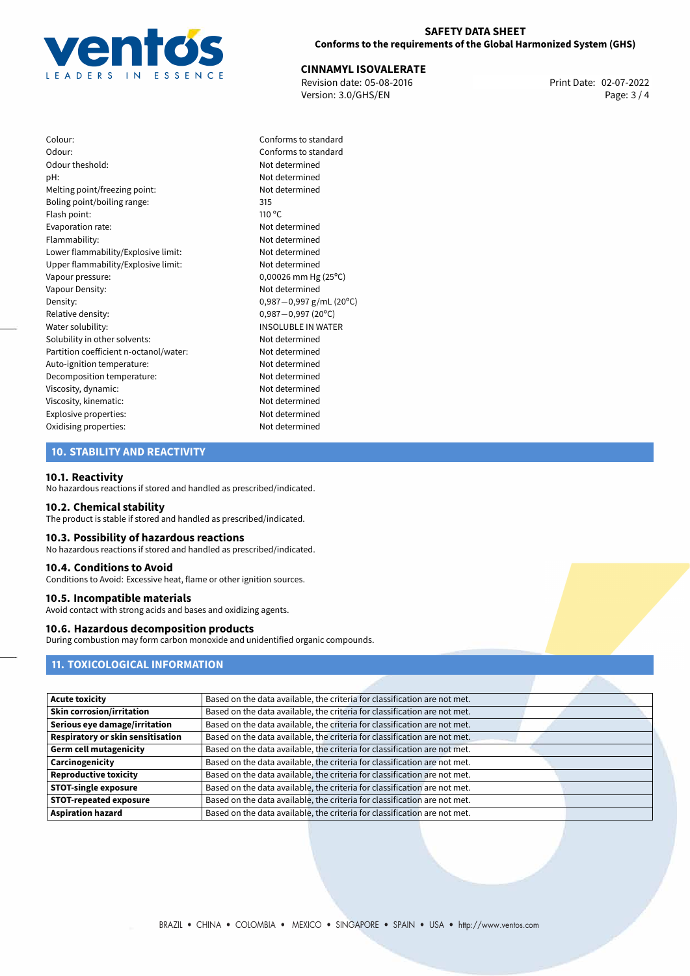

02-07-2022 **CINNAMYL ISOVALERATE** Revision date: 05-08-2016 Print Date: Version: 3.0/GHS/EN Page: 3 / 4

Colour: Conforms to standard Odour: Conforms to standard Odour theshold: Not determined pH: Not determined Melting point/freezing point: Not determined Boling point/boiling range: 315 Flash point: 110 °C Evaporation rate: Not determined Flammability: Not determined Lower flammability/Explosive limit: Not determined Upper flammability/Explosive limit: Not determined Vapour pressure: 0,00026 mm Hg (25°C) Vapour Density: Not determined Density: 0,987−0,997 g/mL (20°C)<br>Relative density: 0,987−0,997 (20°C) Relative density: 0,987−0,997 (20°C)<br>Water solubility: 0,987−0,997 (20°C) Solubility in other solvents: Not determined Partition coefficient n-octanol/water: Not determined Auto-ignition temperature: Not determined Decomposition temperature: Not determined Viscosity, dynamic: Not determined Viscosity, kinematic: Not determined Explosive properties: Not determined Oxidising properties: Not determined

# **INSOLUBLE IN WATER**

## **10. STABILITY AND REACTIVITY**

#### **10.1. Reactivity**

No hazardous reactions if stored and handled as prescribed/indicated.

#### **10.2. Chemical stability**

The product is stable if stored and handled as prescribed/indicated.

#### **10.3. Possibility of hazardous reactions**

No hazardous reactions if stored and handled as prescribed/indicated.

#### **10.4. Conditions to Avoid**

Conditions to Avoid: Excessive heat, flame or other ignition sources.

#### **10.5. Incompatible materials**

Avoid contact with strong acids and bases and oxidizing agents.

#### **10.6. Hazardous decomposition products**

During combustion may form carbon monoxide and unidentified organic compounds.

# **11. TOXICOLOGICAL INFORMATION**

| <b>Acute toxicity</b>             | Based on the data available, the criteria for classification are not met. |
|-----------------------------------|---------------------------------------------------------------------------|
| <b>Skin corrosion/irritation</b>  | Based on the data available, the criteria for classification are not met. |
| Serious eye damage/irritation     | Based on the data available, the criteria for classification are not met. |
| Respiratory or skin sensitisation | Based on the data available, the criteria for classification are not met. |
| <b>Germ cell mutagenicity</b>     | Based on the data available, the criteria for classification are not met. |
| Carcinogenicity                   | Based on the data available, the criteria for classification are not met. |
| <b>Reproductive toxicity</b>      | Based on the data available, the criteria for classification are not met. |
| <b>STOT-single exposure</b>       | Based on the data available, the criteria for classification are not met. |
| <b>STOT-repeated exposure</b>     | Based on the data available, the criteria for classification are not met. |
| <b>Aspiration hazard</b>          | Based on the data available, the criteria for classification are not met. |
|                                   |                                                                           |